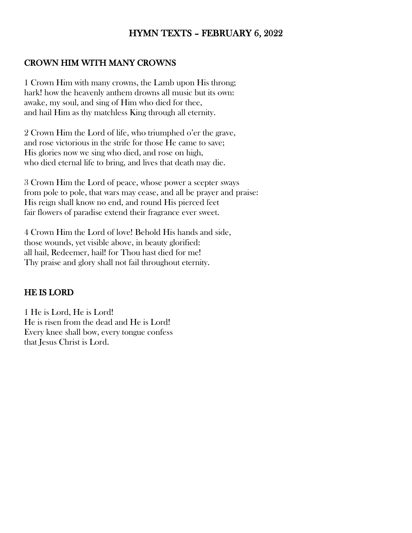# HYMN TEXTS – FEBRUARY 6, 2022

### CROWN HIM WITH MANY CROWNS

1 Crown Him with many crowns, the Lamb upon His throng; hark! how the heavenly anthem drowns all music but its own: awake, my soul, and sing of Him who died for thee, and hail Him as thy matchless King through all eternity.

2 Crown Him the Lord of life, who triumphed o'er the grave, and rose victorious in the strife for those He came to save; His glories now we sing who died, and rose on high, who died eternal life to bring, and lives that death may die.

3 Crown Him the Lord of peace, whose power a scepter sways from pole to pole, that wars may cease, and all be prayer and praise: His reign shall know no end, and round His pierced feet fair flowers of paradise extend their fragrance ever sweet.

4 Crown Him the Lord of love! Behold His hands and side, those wounds, yet visible above, in beauty glorified: all hail, Redeemer, hail! for Thou hast died for me! Thy praise and glory shall not fail throughout eternity.

#### HE IS LORD

1 He is Lord, He is Lord! He is risen from the dead and He is Lord! Every knee shall bow, every tongue confess that Jesus Christ is Lord.